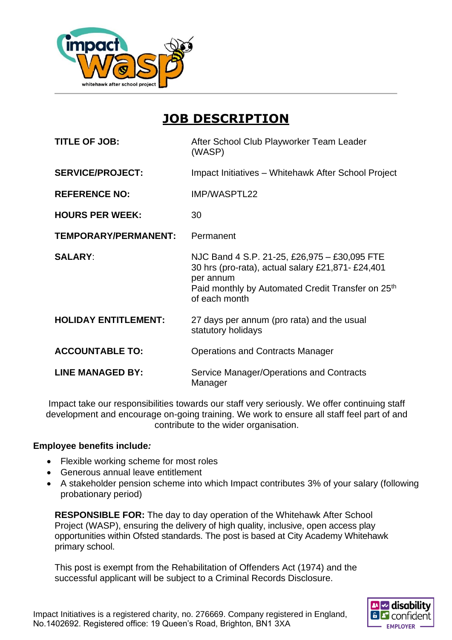

# **JOB DESCRIPTION**

| <b>TITLE OF JOB:</b>        | After School Club Playworker Team Leader<br>(WASP)                                                                                                                                               |
|-----------------------------|--------------------------------------------------------------------------------------------------------------------------------------------------------------------------------------------------|
| <b>SERVICE/PROJECT:</b>     | Impact Initiatives - Whitehawk After School Project                                                                                                                                              |
| <b>REFERENCE NO:</b>        | IMP/WASPTL22                                                                                                                                                                                     |
| <b>HOURS PER WEEK:</b>      | 30                                                                                                                                                                                               |
| TEMPORARY/PERMANENT:        | Permanent                                                                                                                                                                                        |
| <b>SALARY:</b>              | NJC Band 4 S.P. 21-25, £26,975 - £30,095 FTE<br>30 hrs (pro-rata), actual salary £21,871- £24,401<br>per annum<br>Paid monthly by Automated Credit Transfer on 25 <sup>th</sup><br>of each month |
| <b>HOLIDAY ENTITLEMENT:</b> | 27 days per annum (pro rata) and the usual<br>statutory holidays                                                                                                                                 |
| <b>ACCOUNTABLE TO:</b>      | <b>Operations and Contracts Manager</b>                                                                                                                                                          |
| <b>LINE MANAGED BY:</b>     | Service Manager/Operations and Contracts<br>Manager                                                                                                                                              |

Impact take our responsibilities towards our staff very seriously. We offer continuing staff development and encourage on-going training. We work to ensure all staff feel part of and contribute to the wider organisation.

#### **Employee benefits include***:*

- Flexible working scheme for most roles
- Generous annual leave entitlement
- A stakeholder pension scheme into which Impact contributes 3% of your salary (following probationary period)

**RESPONSIBLE FOR:** The day to day operation of the Whitehawk After School Project (WASP), ensuring the delivery of high quality, inclusive, open access play opportunities within Ofsted standards. The post is based at City Academy Whitehawk primary school.

This post is exempt from the Rehabilitation of Offenders Act (1974) and the successful applicant will be subject to a Criminal Records Disclosure.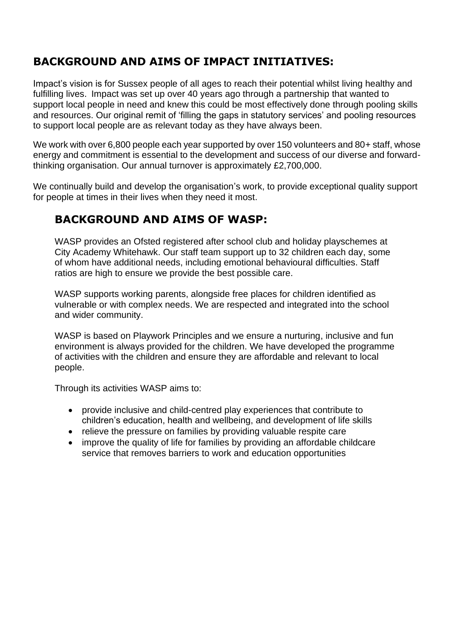### **BACKGROUND AND AIMS OF IMPACT INITIATIVES:**

Impact's vision is for Sussex people of all ages to reach their potential whilst living healthy and fulfilling lives. Impact was set up over 40 years ago through a partnership that wanted to support local people in need and knew this could be most effectively done through pooling skills and resources. Our original remit of 'filling the gaps in statutory services' and pooling resources to support local people are as relevant today as they have always been.

We work with over 6,800 people each year supported by over 150 volunteers and 80+ staff, whose energy and commitment is essential to the development and success of our diverse and forwardthinking organisation. Our annual turnover is approximately £2,700,000.

We continually build and develop the organisation's work, to provide exceptional quality support for people at times in their lives when they need it most.

### **BACKGROUND AND AIMS OF WASP:**

WASP provides an Ofsted registered after school club and holiday playschemes at City Academy Whitehawk. Our staff team support up to 32 children each day, some of whom have additional needs, including emotional behavioural difficulties. Staff ratios are high to ensure we provide the best possible care.

WASP supports working parents, alongside free places for children identified as vulnerable or with complex needs. We are respected and integrated into the school and wider community.

WASP is based on Playwork Principles and we ensure a nurturing, inclusive and fun environment is always provided for the children. We have developed the programme of activities with the children and ensure they are affordable and relevant to local people.

Through its activities WASP aims to:

- provide inclusive and child-centred play experiences that contribute to children's education, health and wellbeing, and development of life skills
- relieve the pressure on families by providing valuable respite care
- improve the quality of life for families by providing an affordable childcare service that removes barriers to work and education opportunities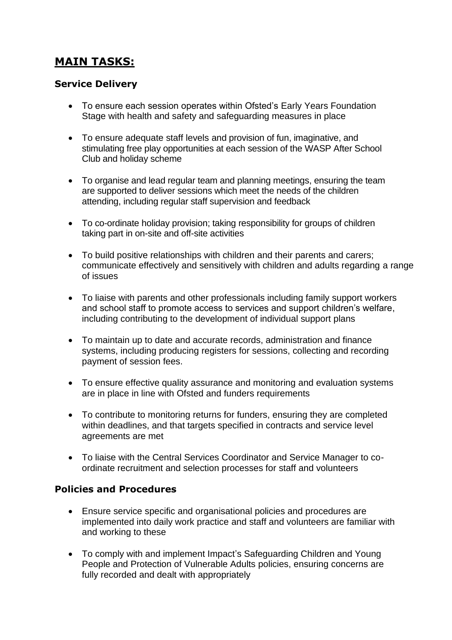## **MAIN TASKS:**

#### **Service Delivery**

- To ensure each session operates within Ofsted's Early Years Foundation Stage with health and safety and safeguarding measures in place
- To ensure adequate staff levels and provision of fun, imaginative, and stimulating free play opportunities at each session of the WASP After School Club and holiday scheme
- To organise and lead regular team and planning meetings, ensuring the team are supported to deliver sessions which meet the needs of the children attending, including regular staff supervision and feedback
- To co-ordinate holiday provision; taking responsibility for groups of children taking part in on-site and off-site activities
- To build positive relationships with children and their parents and carers; communicate effectively and sensitively with children and adults regarding a range of issues
- To liaise with parents and other professionals including family support workers and school staff to promote access to services and support children's welfare, including contributing to the development of individual support plans
- To maintain up to date and accurate records, administration and finance systems, including producing registers for sessions, collecting and recording payment of session fees.
- To ensure effective quality assurance and monitoring and evaluation systems are in place in line with Ofsted and funders requirements
- To contribute to monitoring returns for funders, ensuring they are completed within deadlines, and that targets specified in contracts and service level agreements are met
- To liaise with the Central Services Coordinator and Service Manager to coordinate recruitment and selection processes for staff and volunteers

### **Policies and Procedures**

- Ensure service specific and organisational policies and procedures are implemented into daily work practice and staff and volunteers are familiar with and working to these
- To comply with and implement Impact's Safeguarding Children and Young People and Protection of Vulnerable Adults policies, ensuring concerns are fully recorded and dealt with appropriately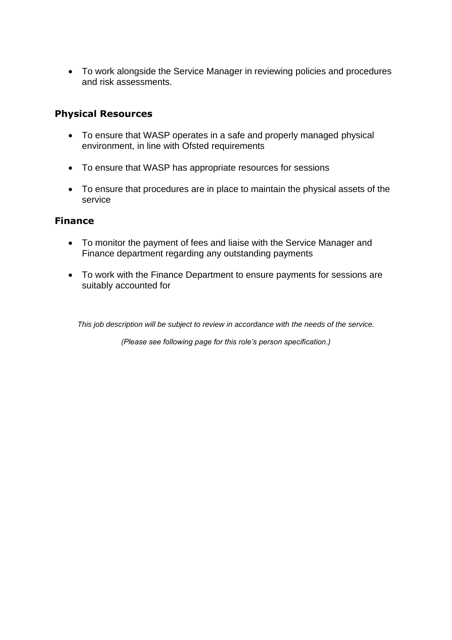• To work alongside the Service Manager in reviewing policies and procedures and risk assessments.

#### **Physical Resources**

- To ensure that WASP operates in a safe and properly managed physical environment, in line with Ofsted requirements
- To ensure that WASP has appropriate resources for sessions
- To ensure that procedures are in place to maintain the physical assets of the service

#### **Finance**

- To monitor the payment of fees and liaise with the Service Manager and Finance department regarding any outstanding payments
- To work with the Finance Department to ensure payments for sessions are suitably accounted for

*This job description will be subject to review in accordance with the needs of the service.*

*(Please see following page for this role's person specification.)*